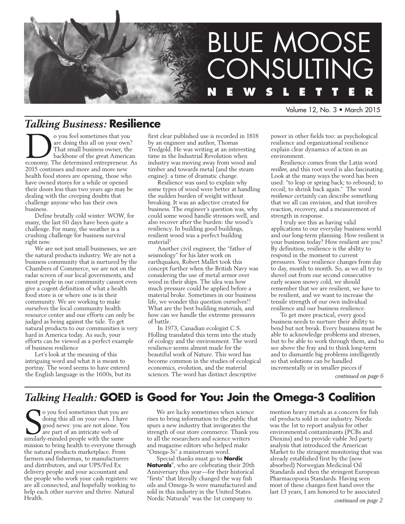

Volume 12, No. 3 • March 2015

# *Talking Business:* **Resilience**

solution of the sometimes that you are doing this all on your own?<br>That small business owner, the backbone of the great America<br>economy. The determined entrepreneur. are doing this all on your own? That small business owner, the backbone of the great American economy. The determined entrepreneur. As 2015 continues and more and more new health food stores are opening, those who have owned stores for a while or opened their doors less than two years ago may be dealing with the creeping doubts that challenge anyone who has their own business.

Define brutally cold winter. WOW, for many, the last 60 days have been quite a challenge. For many, the weather is a crushing challenge for business survival right now.

We are not just small businesses, we are the natural products industry. We are not a business community that is nurtured by the Chambers of Commerce, we are not on the radar screen of our local governments, and most people in our community cannot even give a cogent definition of what a health food store is or where one is in their community. We are working to make ourselves the local community health resource center and our efforts can only be judged as being against the tide. To get natural products to our communities is very hard in America today. As such, your efforts can be viewed as a perfect example of business resilience

Let's look at the meaning of this intriguing word and what it is meant to portray. The word seems to have entered the English language in the 1600s, but its first clear published use is recorded in 1818 by an engineer and author, Thomas Tredgold. He was writing at an interesting time in the Industrial Revolution when industry was moving away from wood and timber and towards metal (and the steam engine): a time of dramatic change.

Resilience was used to explain why some types of wood were better at handling the sudden burden of weight without breaking. It was an adjective created for business. The engineer's question was, why could some wood handle stressors well, and also recover after the burden: the wood's resiliency. In building good buildings, resilient wood was a perfect building material<sup>1</sup>

Another civil engineer, the "father of seismology" for his later work on earthquakes, Robert Mallet took this concept further when the British Navy was considering the use of metal armor over wood in their ships. The idea was how much pressure could be applied before a material broke. Sometimes in our business life, we wonder this question ourselves!! What are the best building materials, and how can we handle the extreme pressures of battle.

In 1973, Canadian ecologist C.S. Holling translated this term into the study of ecology and the environment. The word resilience seems almost made for the beautiful work of Nature. This word has become common in the studies of ecological economics, evolution, and the material sciences. The word has distinct descriptive

power in other fields too: as psychological resilience and organizational resilience explain clear dynamics of action in an environment.

Resilience comes from the Latin word *resilire*, and this root word is also fascinating. Look at the many ways the word has been used: "to leap or spring back; to rebound; to recoil; to shrink back again." The word *resilience* certainly can describe something that we all can envision, and that involves reaction, recovery, and a measurement of strength in response.

I truly see this as having valid applications to our everyday business world and our long-term planning. How resilient is your business today? How resilient are you? By definition, resilience is the ability to respond in the moment to current pressures. Your resilience changes from day to day, month to month. So, as we all try to shovel out from our second consecutive early season snowy cold, we should remember that we are resilient, we have to be resilient, and we want to increase the tensile strength of our own individual resilience and our business resilience.

To get more practical, every good business needs to nurture their ability to bend but not break. Every business must be able to acknowledge problems and stresses, but to be able to work through them, and to see above the fray and to think long-term and to dismantle big problems intelligently so that solutions can be handled incrementally or in smaller pieces if

*continued on page 6*

# *Talking Health:* **GOED is Good for You: Join the Omega-3 Coalition**

S similarly-minded people with the same o you feel sometimes that you are doing this all on your own. I have good news: you are not alone. You are part of an intricate web of mission to bring health to everyone through the natural products marketplace. From farmers and fisherman, to manufacturers and distributors, and our UPS/Fed Ex delivery people and your accountant and the people who work your cash registers: we are all connected, and hopefully working to help each other survive and thrive. Natural Health.

We are lucky sometimes when science rises to bring information to the public that spurs a new industry that invigorates the strength of our store commerce. Thank you to all the researchers and science writers and magazine editors who helped make "Omega-3s" a mainstream word.

Special thanks must go to **Nordic Naturals**® , who are celebrating their 20th Anniversary this year—for their historical "firsts" that literally changed the way fish oils and Omega-3s were manufactured and sold in this industry in the United States. Nordic Naturals® was the 1st company to

mention heavy metals as a concern for fish oil products sold in our industry. Nordic was the 1st to report analysis for other environmental contaminants (PCBs and Dioxins) and to provide viable 3rd party analysis that introduced the American Market to the stringent monitoring that was already established first by the (now absorbed) Norwegian Medicinal Oil Standards and then the stringent European Pharmacopoeia Standards. Having seen most of these changes first hand over the last 13 years, I am honored to be associated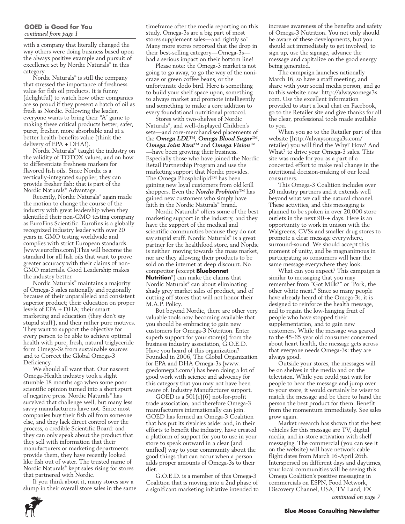### **GOED is Good for You** *continued from page 1*

with a company that literally changed the way others were doing business based upon the always positive example and pursuit of excellence set by Nordic Naturals® in this category

Nordic Naturals® is still the company that stressed the importance of freshness value for fish oil products. It is funny (delightful) to watch how other companies are so proud if they present a batch of oil as fresh as Nordic. Following the leader, everyone wants to bring their "A" game to making these critical products better, safer, purer, fresher, more absorbable and at a better health-benefits value (think the delivery of EPA + DHA!).

Nordic Naturals® taught the industry on the validity of TOTOX values, and on how to differentiate freshness markers for flavored fish oils. Since Nordic is a vertically-integrated supplier, they can provide fresher fish: that is part of the Nordic Naturals® Advantage.

Recently, Nordic Naturals® again made the motion to change the course of the industry with great leadership when they identified their non-GMO testing company as EuroFins Scientific. Eurofins is a globally recognized industry leader with over 20 years in GMO testing worldwide and complies with strict European standards. [www.eurofins.com].This will become the standard for all fish oils that want to prove greater accuracy with their claims of non-GMO materials. Good Leadership makes the industry better.

Nordic Naturals® maintains a majority of Omega-3 sales nationally and regionally because of their unparalleled and consistent superior product; their education on proper levels of EPA + DHA; their smart marketing and education (they don't say stupid stuff), and their rather pure motives. They want to support the objective for every person to be able to achieve optimal health with pure, fresh, natural triglyceride form Omega-3s from sustainable sources and to Correct the Global Omega-3 Deficiency.

We should all want that. Our nascent Omega-Health industry took a slight stumble 18 months ago when some poor scientific opinion turned into a short spurt of negative press. Nordic Naturals® has survived that challenge well, but many less savvy manufacturers have not. Since most companies buy their fish oil from someone else, and they lack direct control over the process, a credible Scientific Board: and they can only speak about the product that they sell with information that their manufacturers or marketing departments provide them, they have recently looked like fish out of water. The trusted name of Nordic Naturals® kept sales rising for stores that partnered with Nordic.

If you think about it, many stores saw a slump in their overall store sales in the same timeframe after the media reporting on this study. Omega-3s are a big part of most stores supplement sales—and rightly so! Many more stores reported that the drop in their best-selling category—Omega-3s had a serious impact on their bottom line!

Please note: the Omega-3 market is not going to go away, to go the way of the nonicraze or green coffee beans, or the unfortunate dodo bird. Here is something to build your shelf space upon, something to always market and promote intelligently and something to make a core addition to every foundational nutritional protocol.

Stores with two-shelves of Nordic Naturals® , and well-displayed Children's sets—and core-merchandised placements of the *Omega LDL*™, *Omega Blood Sugar*™, *Omega Joint Xtra*™ and *Omega Vision*™ —have been growing their business. Especially those who have joined the Nordic Retail Partnership Program and use the marketing support that Nordic provides. The Omega Phospholipid™ has been gaining new loyal customers from old krill shoppers. Even the *Nordic Probiotic*™ has gained new customers who simply have faith in the Nordic Naturals® brand.

Nordic Naturals® offers some of the best marketing support in the industry, and they have the support of the medical and scientific communities because they do not say stupid stuff. Nordic Naturals® is a great partner for the healthfood store, and Nordic is neither moving towards the mass market, nor are they allowing their products to be sold on the internet at deep discount. No competitor (except **Bluebonnet** 

**Nutrition**® ) can make the claims that Nordic Naturals® can about eliminating shady grey market sales of product, and of cutting off stores that will not honor their M.A.P. Policy.

But beyond Nordic, there are other very valuable tools now becoming available that you should be embracing to gain new customers for Omega-3 Nutrition. Enter superb support for your store(s) from the business industry association, G.O.E.D. Have you heard of this organization? Founded in 2006, The Global Organization for EPA and DHA Omega-3s (www. goedomega3.com/) has been doing a lot of good work with science and advocacy for this category that you may not have been aware of. Industry Manufacturer support.

GOED is a  $501(c)(6)$  not-for-profit trade association, and therefore Omega-3 manufacturers internationally can join. GOED has formed an Omega-3 Coalition that has put its rivalries aside: and, in their efforts to benefit the industry, have created a platform of support for you to use in your store to speak outward in a clear (and unified) way to your community about the good things that can occur when a person adds proper amounts of Omega-3s to their diet.

G.O.E.D. is a member of this Omega-3 Coalition that is moving into a 2nd phase of a significant marketing initiative intended to increase awareness of the benefits and safety of Omega-3 Nutrition. You not only should be aware of these developments, but you should act immediately to get involved, to sign up, use the signage, advance the message and capitalize on the good energy being generated.

The campaign launches nationally March 16, so have a staff meeting, and share with your social media person, and go to this website now: http://alwaysomega3s. com. Use the excellent information provided to start a local chat on Facebook, go to the Retailer site and give thanks for all the clear, professional tools made available to you.

When you go to the Retailer part of this website (http://alwaysomega3s.com/ retailer) you will find the Why? How? And What? to drive your Omega-3 sales. This site was made for you as a part of a concerted effort to make real change in the nutritional decision-making of our local consumers.

This Omega-3 Coalition includes over 20 industry partners and it extends well beyond what we call the natural channel. These activities, and this messaging is planned to be spoken in over 20,000 store outlets in the next 90-+ days. Here is an opportunity to work in unison with the Walgreens, CVSs and smaller drug stores to promote a clear message everywhere, surround-sound. We should accept this moment of unity, and be magnanimous in participating so consumers will hear the same message everywhere they look.

What can you expect? This campaign is similar to messaging that you may remember from "Got Milk?" or "Pork, the other white meat." Since so many people have already heard of the Omega-3s, it is designed to reinforce the health message, and to regain the low-hanging fruit of people who have stopped their supplementation, and to gain new customers. While the message was geared to the 45-65 year old consumer concerned about heart health, the message gets across that everyone needs Omega-3s: they are always good.

Outside your stores, the messages will be on shelves in the media and on the television. While you could just wait for people to hear the message and jump over to your store, it would certainly be wiser to match the message and be there to hand the person the best product for them. Benefit from the momentum immediately. See sales grow again.

Market research has shown that the best vehicles for this message are TV, digital media, and in-store activation with shelf messaging. The commercial (you can see it on the website) will have network cable flight dates from March 16-April 26th. Interspersed on different days and daytimes, your local communities will be seeing this Omega Coalition's positive messaging in commercials on ESPN, Food Network, Discovery Channel, USA, TV Land, FX *continued on page 7*



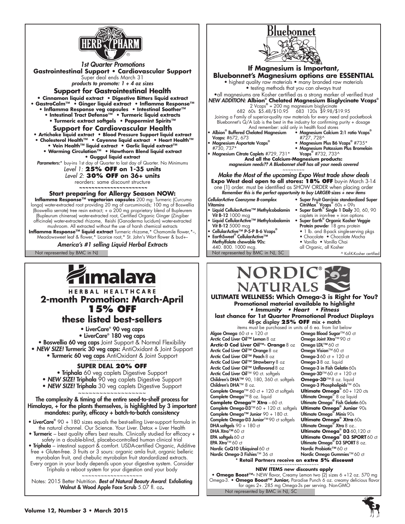

*1st Quarter Promotions* **Gastrointestinal Support • Cardiovascular Support**  Super deal ends March 31 *products to promote: 1 + 4 oz sizes* **Support for Gastrointestinal Health • Cinnamon liquid extract • Digestive Bitters liquid extract • GastroCalm™ • Ginger liquid extract • Inflamma Response™ • Inflamma Response veg capsules • Intestinal Soother™ • Intestinal Tract Defense™ • Turmeric liquid extracts • Turmeric extract softgels • Peppermint Spirits™ Support for Cardiovascular Health**

**• Artichoke liquid extract • Blood Pressure Support liquid extract**

 **• Cholesterol Health™ • Cayenne liquid extract • Heart Health™** 

**• Vein Health™ liquid extract • Garlic liquid extract™ • Warming Circulation™ • Hawthorn Blend liquid extract** 

**• Guggul liquid extract**

Parameters:\* buy-ins 1st day of Quarter to last day of Quarter. No Minimums *Level 1:* **25% OFF on 1-35 units**

*Level 2:* **30% OFF on 36+ units** reorders: same discount structure  **~~~~~~~~~~~~~~~~~~~~~~**

### **Start preparing for Allergy Season NOW:**

**Inflamma Response™ vegetarian capsules** 200 mg: Turmeric (Curcuma longa) water-extracted root providing 20 mg of curcuminoids; 100 mg of Boswellia (Boswellia serrate) tree resin extract; + a 200 mg proprietary blend of Bupleurem (Bupleurum chinense) water-extracted root, Certified Organic Ginger (Zingiber officinale) water-extracted rhizome, Reishi (Ganoderma lucidum) water-extracted mushroom. All extracted without the use of harsh chemical extracts **Inflamma Response™ liquid extract** Turmeric rhizome,\* Chamomile flower,\*-,

Meadowsweet leaf & flower,\* Licorice root,\* St. John's Wort flower & bud+--

*America's #1 selling Liquid Herbal Extracts*

# ímalaya

HERBAL HEALTHCARE **2-month Promotion: March-April 15% OFF**

# **these listed best-sellers**

• LiverCare® 90 veg caps

• LiverCare® 180 veg caps

• Boswellia 60 veg caps Joint Support & Normal Flexibility • *NEW SIZE!* Turmeric 30 veg caps: AntiOxidant & Joint Support • Turmeric 60 veg caps AntiOxidant & Joint Support

## **SUPER DEAL 20% OFF**

• Triphala 60 veg caplets Digestive Support

- **NEW SIZE! Triphala** 90 veg caplets Digestive Support
- *NEW SIZE!* Triphala 30 veg caplets Digestive Support

~~~~~~~~~~~~~~~~~~~

The complexity & timing of the entire seed-to-shelf process for Himalaya, + for the plants themselves, is highlighted by 3 important mandates: purity, efficacy + batch-to-batch consistency

- LiverCare<sup>®</sup> 90 + 180 sizes equals the best-selling Liver-support formula in the natural channel. Our Science. Your Liver. Detox + Liver Health
- Turmeric best quality offers best results. Clinically studied for efficacy + safety in a double-blind, placebo-controlled human clinical trial

• Triphala – intestinal support & comfort. USDA-certified Organic, Additive free + Gluten-free. 3 fruits or 3 sours: organic amla fruit, organic belleric myrobalan fruit, and chebulic myrobalan fruit standardized extracts. Every organ in your body depends upon your digestive system. Consider Triphala a reboot system for your digestion and your body

~~~~~~~~~~~~~~~~~~~ Notes: 2015 Better Nutrition. *Best of Natural Beauty Award*: Exfoliating Walnut & Wood Apple Face Scrub 5.07 fl. oz**.**





Not represented by BMC in NJ, SC **• Omega Boost**™**-** NEW flavor, Creamy Lemon two (2) sizes 6 +12 oz. 570 mg Omega-3. **• Omega Boost**™ **Junior,** Paradise Punch 6 oz. creamy delicious flavor for ages 2+. 285 mg Omega-3s per serving. Non-GMO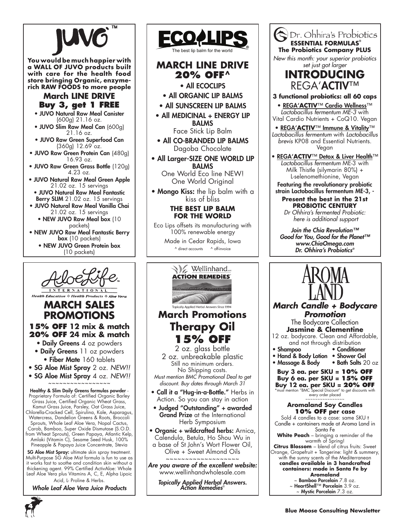

**You would be much happier with a WALL OF JUVO products built with care for the health food store bringing Organic, enzymerich RAW FOODS to more people**

# **March LINE DRIVE Buy 3, get 1 FREE**

- JUVO Natural Raw Meal Canister (600g) 21.16 oz.
- JUVO Slim Raw Meal Can (600g) 21.16 oz.
- JUVO Raw Green Superfood Can  $(360g)$  12.69 oz.
- JUVO Raw Green Protein Can (480g) 16.93 oz.
- JUVO Raw Green Grass Bottle (120g) 4.23 oz.
- JUVO Natural Raw Meal Green Apple 21.02 oz. 15 servings
- JUVO Natural Raw Meal Fantastic Berry SLIM 21.02 oz. 15 servings
- JUVO Natural Raw Meal Vanilla Chai 21.02 oz. 15 servings • NEW JUVO Raw Meal box (10
	- packets)
- NEW JUVO Raw Meal Fantastic Berry box (10 packets) • NEW JUVO Green Protein box
	- (10 packets)



# **March Sales Promotions**

# **15% OFF 12 mix & match 20% OFF 24 mix & match**

- Daily Greens 4 oz powders • Daily Greens 11 oz powders
- Fiber Mate 160 tablets
- SG Aloe Mist Spray 2 oz. *NEW!!*
- SG Aloe Mist Spray 4 oz. *NEW!!*

~~~~~~~~~~~~~~~~~

Healthy & Slim Daily Greens formulas powder - Proprietary Formula of: Certified Organic Barley Grass Juice, Certified Organic Wheat Grass, Kamut Grass Juice, Parsley, Oat Grass Juice, Chlorella-Cracked Cell, Spirulina, Kale, Asparagus, Watercress, Dandelion Greens & Roots, Broccoli Sprouts, Whole Leaf Aloe Vera, Nopal Cactus, Carob, Bamboo, Super Oxide Dismutase (S.O.D. from Wheat Sprouts), Green Papaya, Atlantic Kelp, Amlaki (Vitamin C), Sesame Seed Husk, 100% Pineapple & Papaya Juice Concentrate, Stevia

SG Aloe Mist Spray: ultimate skin spray treatment. Multi-Purpose SG Aloe Mist formula is fun to use as it works fast to soothe and condition skin without a thickening agent. 99% Certified ActivAloe: Whole Leaf Aloe Vera plus Vitamins A, C, E, Alpha Lipoic Acid, L- Proline & Herbs.

*Whole Leaf Aloe Vera Juice Products*



# **MARCH LINE DRIVE 20% OFF^**

• All ECOCLIPS

- All ORGANIC LIP BALMS
- All SUNSCREEN LIP BALMS
- All MEDICINAL + ENERGY LIP BALMS Face Stick Lip Balm
- All CO-BRANDED LIP BALMS Dagoba Chocolate
- All Larger-SIZE ONE WORLD LIP BALMS

One World Eco line NEW! One World Original

• Mongo Kiss: the lip balm with a kiss of bliss

## **THE BEST LIP BALM FOR THE WORLD**

Eco Lips offsets its manufacturing with 100% renewable energy

> Made in Cedar Rapids, Iowa ^ direct accounts ^ off-invoice





Dr. Ohhira's Probiotics

*Join the Chia Revolution™ Good for You, Good for the Planet™ www.ChiaOmega.com Dr. Ohhira's Probiotics®*



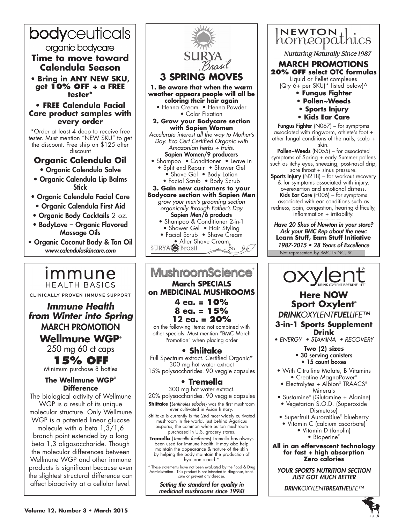# bodyceuticals

organic bodycare

**Time to move toward Calendula Season**

• **Bring in ANY NEW SKU, get 10% off + a FREE tester\***

# **• FREE Calendula Facial Care product samples with every order**

\*Order at least 4 deep to receive free tester. Must mention "NEW SKU" to get the discount. Free ship on \$125 after discount

# **Organic Calendula Oil**

- Organic Calendula Salve
- Organic Calendula Lip Balms **Stick**
- Organic Calendula Facial Care • Organic Calendula First Aid
- Organic Body Cocktails 2 oz.
- BodyLove Organic Flavored Massage Oils
- Organic Coconut Body & Tan Oil *www.calendulaskincare.com*

*Immune* **HEALTH BASICS** CLINICALLY PROVEN IMMUNE SUPPORT

**Immune Health from Winter into Spring** MARCH PROMOTION

**Wellmune WGP®**  250 mg 60 ct caps **15% OFF** Minimum purchase 8 bottles **The Wellmune WGP® Difference** The biological activity of Wellmune WGP is a result of its unique molecular structure. Only Wellmune WGP is a patented linear glucose molecule with a beta 1,3/1,6 branch point extended by a long beta 1,3 oligosaccharide. Though the molecular differences between Wellmune WGP and other immune products is significant because even the slightest structural difference can affect bioactivity at a cellular level.

## • Henna Cream • Henna Powder • Color Fixation **2. Grow your Bodycare section with Sapien Women** *Accelerate interest all the way to Mother's Day. Eco Cert Certified Organic with Amazonian herbs + fruits.*  Sapien Women/9 producers • Shampoo • Conditioner • Leave in • Split end Repair • Shower Gel • Shave Gel • Body Lotion • Facial Scrub • Body Scrub **3. Gain new customers to your Bodycare section with Sapien Men** *grow your men's grooming section organically through Father's Day* Sapien Men/6 products • Shampoo & Conditioner 2-in-1 • Shower Gel • Hair Styling • Facial Scrub • Shave Cream • After Shave Cream<br>SURYA Frasil **MushroomScience March SPECIALS on MEDICINAL MUSHROOMS 4 ea. = 10%**

**3 SPRING** 

**1. Be aware that when the warm weather appears people will all be coloring their hair again**

on the following items: not combined with other specials. Must mention "BMC March Promotion" when placing order

300 mg hot water extract

# **• Tremella**

300 mg hot water extract. 20% polysaccharides. 90 veggie capsules

**Shiitake** {*Lentinules edodes*} was the first mushroom

ever cultivated in Asian history.

Shiitake is currently is the 2nd most widely cultivated mushroom in the world, just behind Agaricus bisporus, the common white button mushroom purchased in U.S. grocery stores.

**Tremella** {*Tremella fuciformis*} Tremella has always been used for immune health. It may also help maintain the appearance & texture of the skin by helping the body maintain the production of hyaluronic acid.\*

\* These statements have not been evaluated by the Food & Drug Administration.. This product is not intended to diagnose, treat, cure or prevent any disease.

> *Setting the standard for quality in medicinal mushrooms since 1994!*



Not represented by BMC in NC, SC **Learn Stuff, Earn Stuff Initiative** 1987-2015 • 28 Years of Excellence



# **Sport Oxylent®**

*DRINKOXYLENTFUELLIFE™*

**3-in-1 Sports Supplement Drink**

• ENERGY • STAMINA • RECOVERY

- **Two (2) sizes** • 30 serving canisters
- 15 count boxes
- With Citrulline Malate, B Vitamins • Creatine MagnaPower®
	- Electrolytes + Albion® TRAACS® Minerals
- Sustamine® (Glutamine + Alanine)

• Vegetarian S.O.D. (Superoxide Dismutase)

• Superfruit AuroraBlue® blueberry

• Vitamin C (calcium ascorbate) • Vitamin D (lanolin) ● Bioperine®

**All in an effervescent technology for fast + high absorption Zero calories**

*YOUR SPORTS NUTRITION SECTION JUST GOT MUCH BETTER*

*DRINKOXYLENTBREATHELIFE™*



**8 ea. = 15% 12 ea. = 20% • Shiitake** Full Spectrum extract. Certified Organic\* 15% polysaccharides. 90 veggie capsules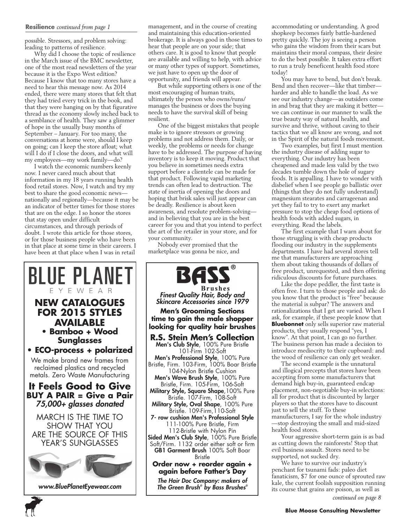#### **Resilience** *continued from page 1*

possible. Stressors, and problem solving: leading to patterns of resilience.

Why did I choose the topic of resilience in the March issue of the BMC newsletter, one of the most read newsletters of the year because it is the Expo West edition? Because I know that too many stores have a need to hear this message now. As 2014 ended, there were many stores that felt that they had tried every trick in the book, and that they were hanging on by that figurative thread as the economy slowly inched back to a semblance of health. They saw a glimmer of hope in the usually busy months of September – January. For too many, the conversations at home were, should I keep on going; can I keep the store afloat; what will I do if I close the doors, and what will my employees—my work family—do?

I watch the economic numbers keenly now. I never cared much about that information in my 18 years running health food retail stores. Now, I watch and try my best to share the good economic news nationally and regionally—because it may be an indicator of better times for those stores that are on the edge. I so honor the stores that stay open under difficult circumstances, and through periods of doubt. I wrote this article for those stores, or for those business people who have been in that place at some time in their careers. I have been at that place when I was in retail

management, and in the course of creating and maintaining this education-oriented brokerage. It is always good in those times to hear that people are on your side; that others care. It is good to know that people are available and willing to help, with advice or many other types of support. Sometimes, we just have to open up the door of opportunity, and friends will appear.

But while supporting others is one of the most encouraging of human traits, ultimately the person who owns/runs/ manages the business or does the buying needs to have the survival skill of being resilient.

One of the biggest mistakes that people make is to ignore stressors or growing problems and not address them. Daily, or weekly, the problems or needs for change have to be addressed. The purpose of having inventory is to keep it moving. Product that you believe in sometimes needs extra support before a clientele can be made for that product. Following vapid marketing trends can often lead to destruction. The state of inertia of opening the doors and hoping that brisk sales will just appear can be deadly. Resilience is about keen awareness, and resolute problem-solving and in believing that you are in the best career for you and that you intend to perfect the art of the retailer in your store, and for your community.

Nobody ever promised that the marketplace was gonna be nice, and



BAS Brushes *Finest Quality Hair, Body and Skincare Accessories since 1979* **Men's Grooming Sections time to gain the male shopper looking for quality hair brushes R.S. Stein Men's Collection** Men's Club Style, 100% Pure Bristle 101-Firm 102-Soft Men's Professional Style, 100% Pure Bristle, Firm. 103-Firm, 100% Boar Bristle 104-Nylon Bristle Cushion Men's Wave Brush Style, 100% Pure Bristle, Firm. 105-Firm, 106-Soft Military Style, Square Shape, 100% Pure Bristle. 107-Firm, 108-Soft Military Style, Oval Shape, 100% Pure Bristle. 109-Firm,110-Soft 7- row cushion Men's Professional Style 111-100% Pure Bristle, Firm 112-Bristle with Nylon Pin Sided Men's Club Style, 100% Pure Bristle Soft/Firm. 1132 order either soft or firm GB1 Garment Brush 100% Soft Boar Bristle **Order now + reorder again + again before Father's Day**

*The Hair Doc Company: makers of The Green Brush® by Bass Brushes®* 

accommodating or understanding. A good shopkeep becomes fairly battle-hardened pretty quickly. The joy is seeing a person who gains the wisdom from their scars but maintains their moral compass, their desire to do the best possible. It takes extra effort to run a truly beneficent health food store today!

You may have to bend, but don't break. Bend and then recover—like that timber harder and able to handle the load. As we see our industry change—as outsiders come in and brag that they are making it better we can continue in our manner to walk the true beauty way of natural health, and survive and thrive, without caving to their tactics that we all know are wrong, and not in the Spirit of the natural foods movement.

Two examples, but first I must mention the industry disease of adding sugar to everything. Our industry has been cheapened and made less valid by the two decades tumble down the hole of sugary foods. It is appalling. I have to wonder with disbelief when I see people go ballistic over (things that they do not fully understand) magnesium stearates and carrageenan and yet they fail to try to exert any market pressure to stop the cheap food options of health foods with added sugars, in everything. Read the labels.

The first example that I warn about for those struggling is with cheap products flooding our industry in the supplements departments. I have had several stores tell me that manufacturers are approaching them about taking thousands of dollars of free product, unrequested, and then offering ridiculous discounts for future purchases.

Like the dope peddler, the first taste is often free. I turn to those people and ask: do you know that the product is "free" because the material is subpar? The answers and rationalizations that I get are varied. When I ask, for example, if these people know that **Bluebonnet** only sells superior raw material products, they usually respond "yes, I know". At that point, I can go no further. The business person has made a decision to introduce mediocrity to their cupboard: and the wood of resilience can only get weaker.

The second example is the unnatural and illogical precepts that stores have been accepting from some manufacturers that demand high buy-in, guaranteed endcap placement, non-negotiable buy-in selections: all for product that is discounted by larger players so that the stores have to discount just to sell the stuff. To these manufacturers, I say for the whole industry —stop destroying the small and mid-sized health food stores.

Your aggressive short-term gain is as bad as cutting down the rainforests! Stop that evil business assault. Stores need to be supported, not sucked dry.

We have to survive our industry's penchant for tsunami fads: paleo diet fanaticism, \$7 for one ounce of sprouted raw kale, the current foolish supposition running its course that grains are poison, as well as

*continued on page 8*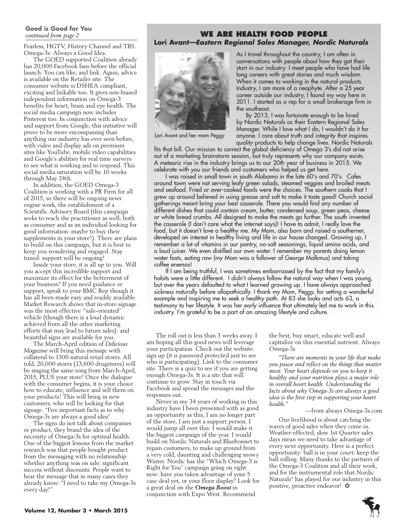# **Goed is Good for You**

Fearless, HGTV, History Channel and TBS. Omega-3s: Always a Good Idea.

The GOED supported Coalition already has 20,000 Facebook fans before the official launch. You can like, and link. Again, advice is available on the Retailer site. The consumer website is DSHEA compliant, exciting and linkable too. It gives non-biased independent information on Omega-3 benefits for heart, brain and eye health. The social media campaign now includes Pinterest too. In conjunction with advice and support from Google, this initiative will prove to be more encompassing than anything our industry has ever seen before, with video and display ads on premium sites like YouTube, mobile video capabilities and Google's abilities for real time surveys to see what is working and to respond. This social media saturation will be 10 weeks through May 24th.

In addition, the GOED Omega-3 Coalition is working with a PR Firm for all of 2015, so there will be ongoing news engine work, the establishment of a Scientific Advisory Board (this campaign seeks to reach the practitioner as well, both as consumer and as an individual looking for good information: maybe to buy their supplements in your store!). There are plans to build on this campaign, but it is best to keep you wondering and engaged. Stay tuned: support will be ongoing!

Inside your store, it is all up to you. Will you accept this incredible support and maximize its effect for the betterment of your business? If you need guidance or support, speak to your BMC Rep though it has all been made easy and readily available. Market Research shows that in-store signage was the most effective '"sale-oriented" vehicle (though there is a loud dynamic achieved from all the other marketing efforts that may lead to future sales): and beautiful signs are available for you.

The March-April edition of *Delicious Magazine* will bring this message with collateral to 1300 natural retail stores. All told, 20,000 stores (13,600 drugstores) will be singing the same song from March-April, 2015, PLUS your store! Once the dialogue with the consumer begins, it is your choice how to educate, influence and sell them on your products! This will bring in new customers, who will be looking for that signage. "Five important facts as to why Omega-3s are always a good idea"

The signs do not talk about companies or product, they brand the idea of the necessity of Omega-3s for optimal health. One of the biggest lessons from the market research was that people bought product from the messaging with no relationship whether anything was on sale: significant success without discounts. People want to hear the message that in many cases they already know: "I need to take my Omega-3s every day!"

# *continued from page 2* **We Are Health Food People Lori Avant—Eastern Regional Sales Manager, Nordic Naturals**



Lori Avant and her mom Peggy

As I travel throughout the country, I am often in conversations with people about how they got their start in our industry. I meet people who have had life long careers with great stories and much wisdom. When it comes to working in the natural products Industry, I am more of a neophyte. After a 25 year career outside our industry, I found my way here in 2011. I started as a rep for a small brokerage firm in the southeast.

By 2013, I was fortunate enough to be hired by Nordic Naturals as their Eastern Regional Sales Manager. While I love what I do, I wouldn't do it for anyone. I care about truth and integrity that inspires quality products to help change lives. Nordic Naturals

fits that bill. Our mission to correct the global deficiency of Omega 3's did not arise out of a marketing brainstorm session, but truly represents why our company exists. A meteoric rise in the industry brings us to our 20th year of business in 2015. We celebrate with you our friends and customers who helped us get here.

 I was raised in small town in south Alabama in the late 60's and 70's. Cafes around town were not serving leafy green salads, steamed veggies and broiled meats and seafood. Fried or over-cooked foods were the choices. The southern cooks that I grew up around believed in using grease and salt to make it taste good! Church social gatherings meant bring your best casserole. There you would find any number of different dishes that could contain cream, butter, condensed soup, green peas, cheese or white bread crumbs. All designed to make the meats go further. The south invented the casserole (I don't care what the internet says)! I have to admit, I really love the food, but it doesn't love a healthy me. My Mom, also born and raised a southerner, developed an interest in healthy living and life in our house changed. Growing up, I remember a lot of vitamins in our pantry, no-salt seasonings, liquid amino acids, and a loud juicer. We even distilled our own water. I remember my parents doing lemon water fasts, eating raw (my Mom was a follower of George Malkmus) and taking coffee enemas!

 If I am being truthful, I was sometimes embarrassed by the fact that my family's habits were a little different. I didn't always follow the natural way when I was young, but over the years defaulted to what I learned growing up. I have always approached sickness naturally before allopathically. I thank my Mom, Peggy, for setting a wonderful example and inspiring me to seek a healthy path. At 83 she looks and acts 63, a testimony to her lifestyle. It was her early influence that ultimately led me to work in this industry. I'm grateful to be a part of an amazing lifestyle and culture.

The roll out is less than 3 weeks away. I am hoping all this good news will leverage your participation. Check out the website: sign up (it is password protected just to see who is participating). Link to the consumer site. There is a quiz to see if you are getting enough Omega-3s. It is a site that will continue to grow. Stay in touch via Facebook and spread the messages and the responses out.

Never in my 34 years of working in this industry have I been presented with as good an opportunity as this, I am no longer part of the store, I am just a support person. I would jump all over this: I would make it the biggest campaign of the year. I would build on Nordic Naturals and Bluebonnet to regain customers, to make up ground from a very cold, daunting and challenging snowy Winter. Nordic has the "Which Omega-3 is Right for You" campaign going on right now: have you taken advantage of your 5 case deal yet, or your floor display? Look for a great deal on the *Omega Boost* in conjunction with Expo West. Recommend

the best, buy smart, educate well and capitalize on this essential nutrient. Always Omega-3s

*"There are moments in your life that make you pause and reflect on the things that matter most. Your heart depends on you to keep it healthy and your nutrition plays a major role in overall heart health. Understanding the facts about why Omega-3s are always a good idea is the first step in supporting your heart health."*

#### —from always Omega-3s.com

Our livelihood is about catching the waves of good sales when they come in. Weather-effected, slow 1st Quarter sales days mean we need to take advantage of every next opportunity. Here is a perfect opportunity: ball is in your court: keep the ball rolling. Many thanks to the partners of the Omega-3 Coalition and all their work, and for the instrumental role that Nordic Naturals® has played for our industry in this positive, proactive endeavor! ❂